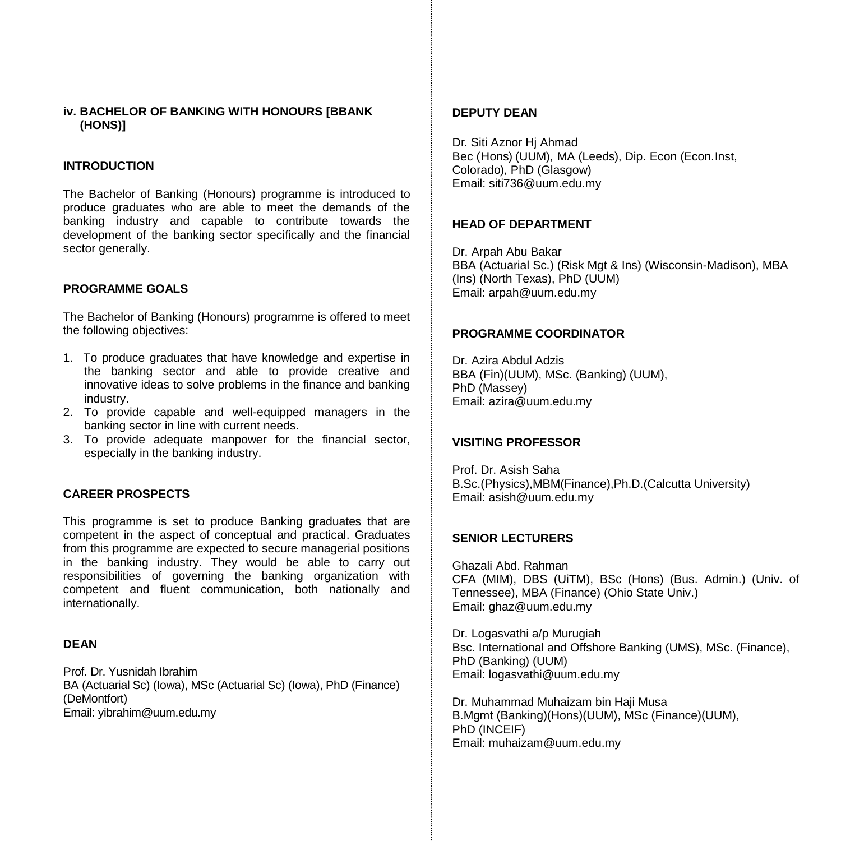### **iv. BACHELOR OF BANKING WITH HONOURS [BBANK (HONS)]**

### **INTRODUCTION**

The Bachelor of Banking (Honours) programme is introduced to produce graduates who are able to meet the demands of the banking industry and capable to contribute towards the development of the banking sector specifically and the financial sector generally.

#### **PROGRAMME GOALS**

The Bachelor of Banking (Honours) programme is offered to meet the following objectives:

- 1. To produce graduates that have knowledge and expertise in the banking sector and able to provide creative and innovative ideas to solve problems in the finance and banking industry.
- 2. To provide capable and well-equipped managers in the banking sector in line with current needs.
- 3. To provide adequate manpower for the financial sector, especially in the banking industry.

### **CAREER PROSPECTS**

This programme is set to produce Banking graduates that are competent in the aspect of conceptual and practical. Graduates from this programme are expected to secure managerial positions in the banking industry. They would be able to carry out responsibilities of governing the banking organization with competent and fluent communication, both nationally and internationally.

# **DEAN**

Prof. Dr. Yusnidah Ibrahim BA (Actuarial Sc) (Iowa), MSc (Actuarial Sc) (Iowa), PhD (Finance) (DeMontfort) Email[: yibrahim@uum.edu.my](mailto:aali@uum.edu.my)

### **DEPUTY DEAN**

Dr. Siti Aznor Hj Ahmad Bec (Hons) (UUM), MA (Leeds), Dip. Econ (Econ.Inst, Colorado), PhD (Glasgow) Email[: siti736@uum.edu.my](mailto:siti736@uum.edu.my)

### **HEAD OF DEPARTMENT**

Dr. Arpah Abu Bakar BBA (Actuarial Sc.) (Risk Mgt & Ins) (Wisconsin-Madison), MBA (Ins) (North Texas), PhD (UUM) Email: arpah@uum.edu.my

#### **PROGRAMME COORDINATOR**

Dr. Azira Abdul Adzis BBA (Fin)(UUM), MSc. (Banking) (UUM), PhD (Massey) Email: azira@uum.edu.my

### **VISITING PROFESSOR**

Prof. Dr. Asish Saha B.Sc.(Physics),MBM(Finance),Ph.D.(Calcutta University) Email: asish@uum.edu.my

### **SENIOR LECTURERS**

Ghazali Abd. Rahman CFA (MIM), DBS (UiTM), BSc (Hons) (Bus. Admin.) (Univ. of Tennessee), MBA (Finance) (Ohio State Univ.) Email[: ghaz@uum.edu.my](mailto:ghaz@uum.edu.my)

Dr. Logasvathi a/p Murugiah Bsc. International and Offshore Banking (UMS), MSc. (Finance), PhD (Banking) (UUM) Email[: logasvathi@uum.edu.my](mailto:logasvathi@uum.edu.my)

Dr. Muhammad Muhaizam bin Haji Musa B.Mgmt (Banking)(Hons)(UUM), MSc (Finance)(UUM), PhD (INCEIF) Email[: muhaizam@uum.edu.my](https://uummail.uum.edu.my/OWA/redir.aspx?C=316134b06fae444581b2bc670d646f2b&URL=mailto%3amuhaizam%40uum.edu.my)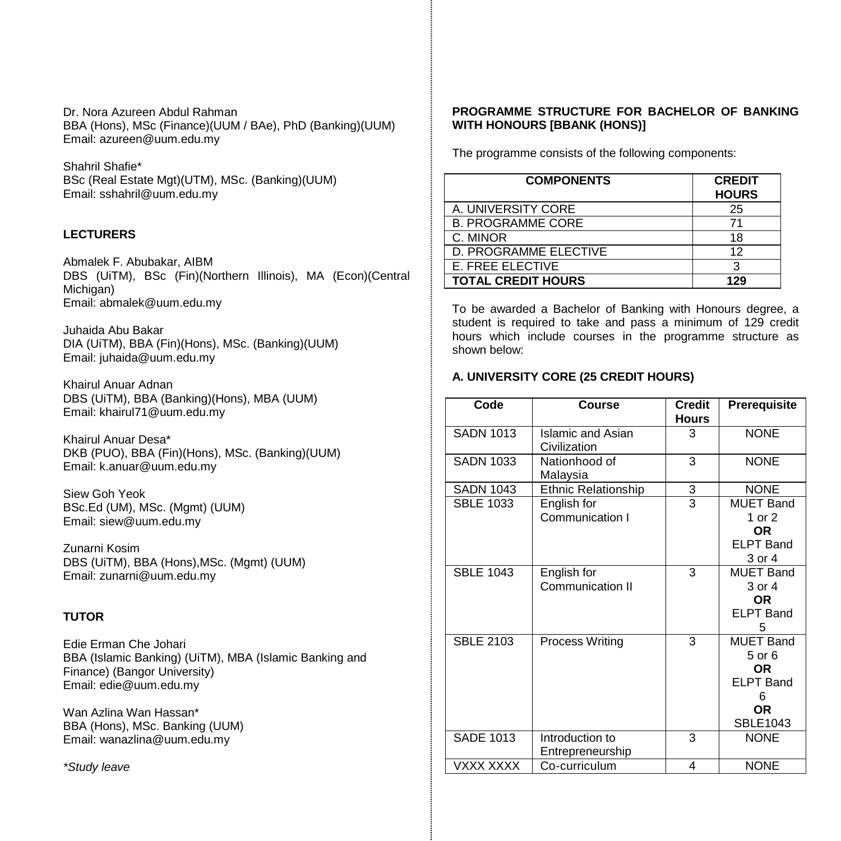Dr. Nora Azureen Abdul Rahman BBA (Hons), MSc (Finance)(UUM / BAe), PhD (Banking)(UUM) Email: azureen@uum.edu.my

Shahril Shafie\* BSc (Real Estate Mgt)(UTM), MSc. (Banking)(UUM) Email: [sshahril@uum.edu.my](mailto:sshahril@uum.edu.my)

# **LECTURERS**

Abmalek F. Abubakar, AIBM DBS (UiTM), BSc (Fin)(Northern Illinois), MA (Econ)(Central Michigan) Email: abmalek@uum.edu.my

Juhaida Abu Bakar DIA (UiTM), BBA (Fin)(Hons), MSc. (Banking)(UUM) Email: juhaida@uum.edu.my

Khairul Anuar Adnan DBS (UiTM), BBA (Banking)(Hons), MBA (UUM) Email: khairul71@uum.edu.my

Khairul Anuar Desa\* DKB (PUO), BBA (Fin)(Hons), MSc. (Banking)(UUM) Email: k.anuar@uum.edu.my

Siew Goh Yeok BSc.Ed (UM), MSc. (Mgmt) (UUM) Email: [siew@uum.edu.my](mailto:siew@uum.edu.my)

Zunarni Kosim DBS (UiTM), BBA (Hons),MSc. (Mgmt) (UUM) Email: zunarni@uum.edu.my

# **TUTOR**

Edie Erman Che Johari BBA (Islamic Banking) (UiTM), MBA (Islamic Banking and Finance) (Bangor University) Email: edie@uum.edu.my

Wan Azlina Wan Hassan\* BBA (Hons), MSc. Banking (UUM) Email: wanazlina@uum.edu.my

*\*Study leave*

### **PROGRAMME STRUCTURE FOR BACHELOR OF BANKING WITH HONOURS [BBANK (HONS)]**

The programme consists of the following components:

| <b>COMPONENTS</b>         | <b>CREDIT</b><br><b>HOURS</b> |
|---------------------------|-------------------------------|
| A. UNIVERSITY CORE        | 25                            |
| <b>B. PROGRAMME CORE</b>  | 71                            |
| C. MINOR                  | 18                            |
| D. PROGRAMME ELECTIVE     | 12                            |
| <b>E. FREE ELECTIVE</b>   | 3                             |
| <b>TOTAL CREDIT HOURS</b> | 129                           |

To be awarded a Bachelor of Banking with Honours degree, a student is required to take and pass a minimum of 129 credit hours which include courses in the programme structure as shown below:

# **A. UNIVERSITY CORE (25 CREDIT HOURS)**

| Code             | <b>Course</b>                          | <b>Credit</b><br><b>Hours</b> | Prerequisite                                                                   |
|------------------|----------------------------------------|-------------------------------|--------------------------------------------------------------------------------|
| <b>SADN 1013</b> | Islamic and Asian<br>Civilization      | 3                             | <b>NONE</b>                                                                    |
| <b>SADN 1033</b> | Nationhood of<br>Malaysia              | 3                             | <b>NONE</b>                                                                    |
| <b>SADN 1043</b> | <b>Ethnic Relationship</b>             | 3                             | <b>NONE</b>                                                                    |
| <b>SBLE 1033</b> | English for<br>Communication I         | $\overline{3}$                | <b>MUET Band</b><br>1 or 2<br>OR.<br><b>ELPT Band</b><br>3 or 4                |
| <b>SBLE 1043</b> | English for<br><b>Communication II</b> | 3                             | <b>MUET Band</b><br>3 or 4<br><b>OR</b><br><b>ELPT Band</b><br>5               |
| <b>SBLE 2103</b> | Process Writing                        | 3                             | <b>MUET Band</b><br>5 or 6<br>OR.<br>FI PT Band<br>6<br>OR.<br><b>SBLE1043</b> |
| <b>SADE 1013</b> | Introduction to<br>Entrepreneurship    | 3                             | <b>NONE</b>                                                                    |
| VXXX XXXX        | Co-curriculum                          | 4                             | <b>NONE</b>                                                                    |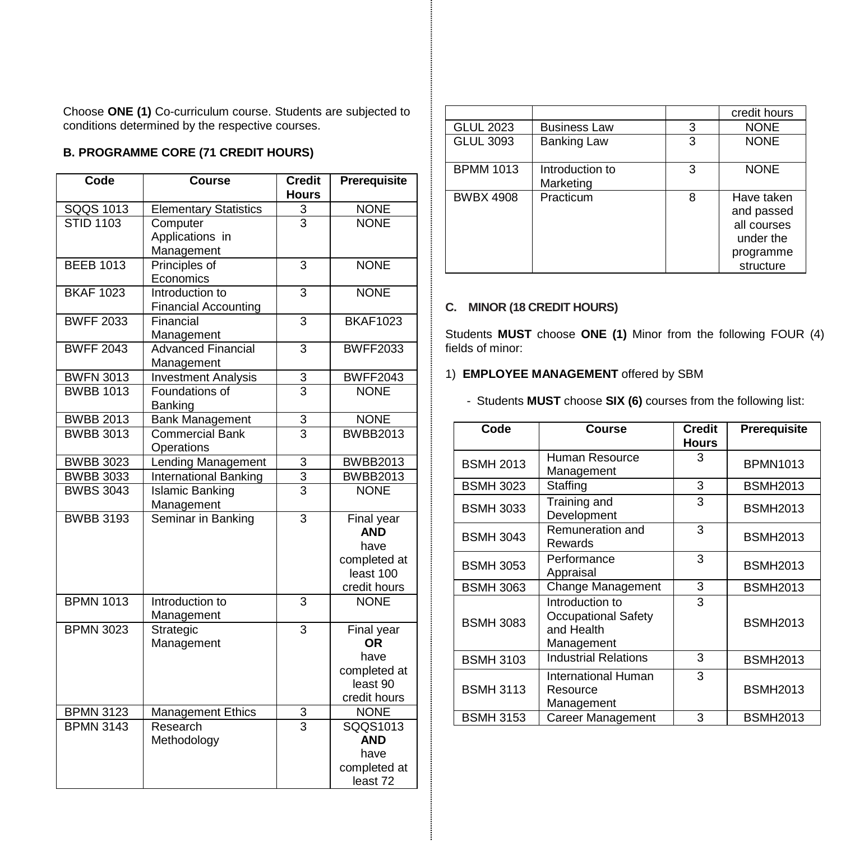Choose **ONE (1)** Co-curriculum course. Students are subjected to conditions determined by the respective courses.

# **B. PROGRAMME CORE (71 CREDIT HOURS)**

| Code             | Course                       | <b>Credit</b>  | Prerequisite                |
|------------------|------------------------------|----------------|-----------------------------|
|                  |                              | <b>Hours</b>   |                             |
| SQQS 1013        | <b>Elementary Statistics</b> | 3              | <b>NONE</b>                 |
| <b>STID 1103</b> | Computer                     | $\overline{3}$ | <b>NONE</b>                 |
|                  | Applications in              |                |                             |
|                  | Management                   |                |                             |
| <b>BEEB 1013</b> | Principles of<br>Economics   | 3              | <b>NONE</b>                 |
| <b>BKAF 1023</b> | Introduction to              | 3              | <b>NONE</b>                 |
|                  | <b>Financial Accounting</b>  |                |                             |
| <b>BWFF 2033</b> | Financial                    | $\overline{3}$ | <b>BKAF1023</b>             |
|                  | Management                   |                |                             |
| <b>BWFF 2043</b> | <b>Advanced Financial</b>    | $\overline{3}$ | <b>BWFF2033</b>             |
|                  | Management                   |                |                             |
| <b>BWFN 3013</b> | <b>Investment Analysis</b>   | 3              | <b>BWFF2043</b>             |
| <b>BWBB 1013</b> | Foundations of               | $\overline{3}$ | <b>NONE</b>                 |
|                  | Banking                      |                |                             |
| <b>BWBB 2013</b> | <b>Bank Management</b>       | 3              | <b>NONE</b>                 |
| <b>BWBB 3013</b> | <b>Commercial Bank</b>       | $\overline{3}$ | <b>BWBB2013</b>             |
|                  | Operations                   |                |                             |
| <b>BWBB 3023</b> | <b>Lending Management</b>    | 3              | <b>BWBB2013</b>             |
| <b>BWBB 3033</b> | <b>International Banking</b> | $\overline{3}$ | <b>BWBB2013</b>             |
| <b>BWBS 3043</b> | <b>Islamic Banking</b>       | $\overline{3}$ | <b>NONE</b>                 |
|                  | Management                   |                |                             |
| <b>BWBB 3193</b> | Seminar in Banking           | 3              | Final year                  |
|                  |                              |                | <b>AND</b>                  |
|                  |                              |                | have                        |
|                  |                              |                | completed at                |
|                  |                              |                | least 100                   |
|                  |                              |                | credit hours                |
| <b>BPMN 1013</b> | Introduction to              | 3              | <b>NONE</b>                 |
|                  | Management                   |                |                             |
| <b>BPMN 3023</b> | Strategic                    | $\overline{3}$ | Final year                  |
|                  | Management                   |                | OR.                         |
|                  |                              |                | have                        |
|                  |                              |                | completed at<br>least 90    |
|                  |                              |                |                             |
| <b>BPMN 3123</b> | Management Ethics            |                | credit hours<br><b>NONE</b> |
| <b>BPMN 3143</b> | Research                     | $\frac{3}{3}$  | SQQS1013                    |
|                  | Methodology                  |                | <b>AND</b>                  |
|                  |                              |                | have                        |
|                  |                              |                | completed at                |
|                  |                              |                | least 72                    |

|                  |                              |   | credit hours                                                                   |
|------------------|------------------------------|---|--------------------------------------------------------------------------------|
| <b>GLUL 2023</b> | <b>Business Law</b>          | 3 | <b>NONE</b>                                                                    |
| <b>GLUL 3093</b> | <b>Banking Law</b>           | 3 | <b>NONE</b>                                                                    |
| <b>BPMM 1013</b> | Introduction to<br>Marketing | 3 | <b>NONE</b>                                                                    |
| <b>BWBX 4908</b> | Practicum                    | 8 | Have taken<br>and passed<br>all courses<br>under the<br>programme<br>structure |

# **C. MINOR (18 CREDIT HOURS)**

Students **MUST** choose **ONE (1)** Minor from the following FOUR (4) fields of minor:

# 1) **EMPLOYEE MANAGEMENT** offered by SBM

- Students **MUST** choose **SIX (6)** courses from the following list:

| Code             | Course                                                             | <b>Credit</b><br><b>Hours</b> | Prerequisite    |
|------------------|--------------------------------------------------------------------|-------------------------------|-----------------|
| <b>BSMH 2013</b> | Human Resource<br>Management                                       | 3                             | <b>BPMN1013</b> |
| <b>BSMH 3023</b> | Staffing                                                           | 3                             | <b>BSMH2013</b> |
| <b>BSMH 3033</b> | Training and<br>Development                                        | 3                             | <b>BSMH2013</b> |
| <b>BSMH 3043</b> | Remuneration and<br>Rewards                                        | 3                             | <b>BSMH2013</b> |
| <b>BSMH 3053</b> | Performance<br>Appraisal                                           | 3                             | <b>BSMH2013</b> |
| <b>BSMH 3063</b> | Change Management                                                  | 3                             | <b>BSMH2013</b> |
| <b>BSMH 3083</b> | Introduction to<br>Occupational Safety<br>and Health<br>Management | 3                             | <b>BSMH2013</b> |
| <b>BSMH 3103</b> | <b>Industrial Relations</b>                                        | 3                             | <b>BSMH2013</b> |
| <b>BSMH 3113</b> | International Human<br>Resource<br>Management                      | 3                             | <b>BSMH2013</b> |
| <b>BSMH 3153</b> | Career Management                                                  | 3                             | <b>BSMH2013</b> |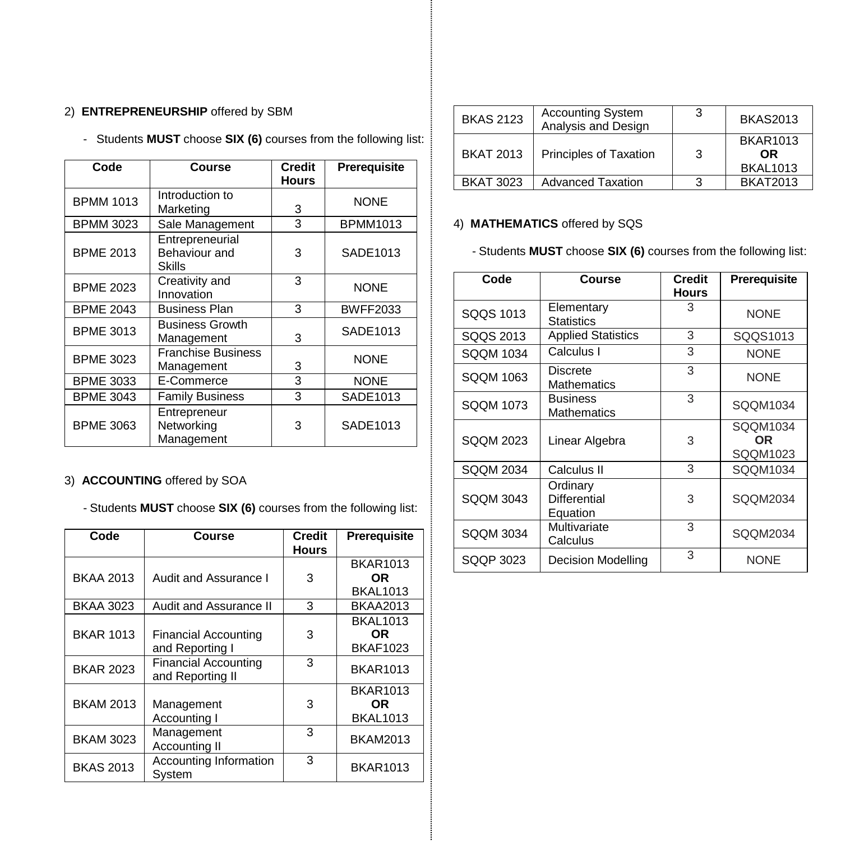# 2) **ENTREPRENEURSHIP** offered by SBM

- Students **MUST** choose **SIX (6)** courses from the following list:

| Code             | Course                                     | Credit<br><b>Hours</b> | Prerequisite    |
|------------------|--------------------------------------------|------------------------|-----------------|
| <b>BPMM 1013</b> | Introduction to<br>Marketing               | 3                      | <b>NONE</b>     |
| <b>BPMM 3023</b> | Sale Management                            | 3                      | <b>BPMM1013</b> |
| <b>BPME 2013</b> | Entrepreneurial<br>Behaviour and<br>Skills | 3                      | SADE1013        |
| <b>BPME 2023</b> | Creativity and<br>Innovation               | 3                      | <b>NONE</b>     |
| <b>BPME 2043</b> | <b>Business Plan</b>                       | 3                      | <b>BWFF2033</b> |
| <b>BPME 3013</b> | <b>Business Growth</b><br>Management       | 3                      | SADE1013        |
| <b>BPME 3023</b> | <b>Franchise Business</b><br>Management    | 3                      | <b>NONE</b>     |
| <b>BPME 3033</b> | E-Commerce                                 | 3                      | <b>NONE</b>     |
| <b>BPME 3043</b> | <b>Family Business</b>                     | 3                      | SADE1013        |
| <b>BPME 3063</b> | Entrepreneur<br>Networking<br>Management   | 3                      | SADE1013        |

# 3) **ACCOUNTING** offered by SOA

- Students **MUST** choose **SIX (6)** courses from the following list:

| Code             | <b>Course</b>                                   | <b>Credit</b> | <b>Prerequisite</b> |
|------------------|-------------------------------------------------|---------------|---------------------|
|                  |                                                 | <b>Hours</b>  |                     |
|                  |                                                 |               | <b>BKAR1013</b>     |
| <b>BKAA 2013</b> | Audit and Assurance I                           | 3             | OR.                 |
|                  |                                                 |               | <b>BKAL1013</b>     |
| <b>BKAA 3023</b> | Audit and Assurance II                          | 3             | <b>BKAA2013</b>     |
|                  |                                                 |               | <b>BKAL1013</b>     |
| <b>BKAR 1013</b> | <b>Financial Accounting</b>                     | 3             | <b>OR</b>           |
|                  | and Reporting I                                 |               | <b>BKAF1023</b>     |
| <b>BKAR 2023</b> | <b>Financial Accounting</b><br>and Reporting II | 3             | <b>BKAR1013</b>     |
|                  |                                                 |               | <b>BKAR1013</b>     |
| <b>BKAM 2013</b> | Management                                      | 3             | OR.                 |
|                  | Accounting I                                    |               | <b>BKAL1013</b>     |
| <b>BKAM 3023</b> | Management                                      | 3             | <b>BKAM2013</b>     |
|                  | Accounting II                                   |               |                     |
| <b>BKAS 2013</b> | Accounting Information                          | 3             | <b>BKAR1013</b>     |
|                  | System                                          |               |                     |

| <b>BKAS 2123</b> | <b>Accounting System</b><br>Analysis and Design | -3 | <b>BKAS2013</b>                           |
|------------------|-------------------------------------------------|----|-------------------------------------------|
| <b>BKAT 2013</b> | Principles of Taxation                          | 3  | <b>BKAR1013</b><br>OR.<br><b>BKAL1013</b> |
| <b>BKAT 3023</b> | <b>Advanced Taxation</b>                        |    | <b>BKAT2013</b>                           |

# 4) **MATHEMATICS** offered by SQS

- Students **MUST** choose **SIX (6)** courses from the following list:

| Code             | Course                                | <b>Credit</b><br><b>Hours</b> | <b>Prerequisite</b>         |
|------------------|---------------------------------------|-------------------------------|-----------------------------|
| SQQS 1013        | Elementary<br><b>Statistics</b>       | 3                             | <b>NONE</b>                 |
| SQQS 2013        | <b>Applied Statistics</b>             | 3                             | SQQS1013                    |
| SQQM 1034        | Calculus I                            | 3                             | <b>NONE</b>                 |
| SQQM 1063        | Discrete<br><b>Mathematics</b>        | 3                             | <b>NONE</b>                 |
| SQQM 1073        | <b>Business</b><br><b>Mathematics</b> | 3                             | SQQM1034                    |
| SOOM 2023        | Linear Algebra                        | 3                             | SQQM1034<br>OR.<br>SQQM1023 |
| <b>SQQM 2034</b> | Calculus II                           | 3                             | SQQM1034                    |
| <b>SQQM 3043</b> | Ordinary<br>Differential<br>Equation  | 3                             | SQQM2034                    |
| <b>SQQM 3034</b> | Multivariate<br>Calculus              | 3                             | SQQM2034                    |
| SQQP 3023        | Decision Modelling                    | 3                             | <b>NONE</b>                 |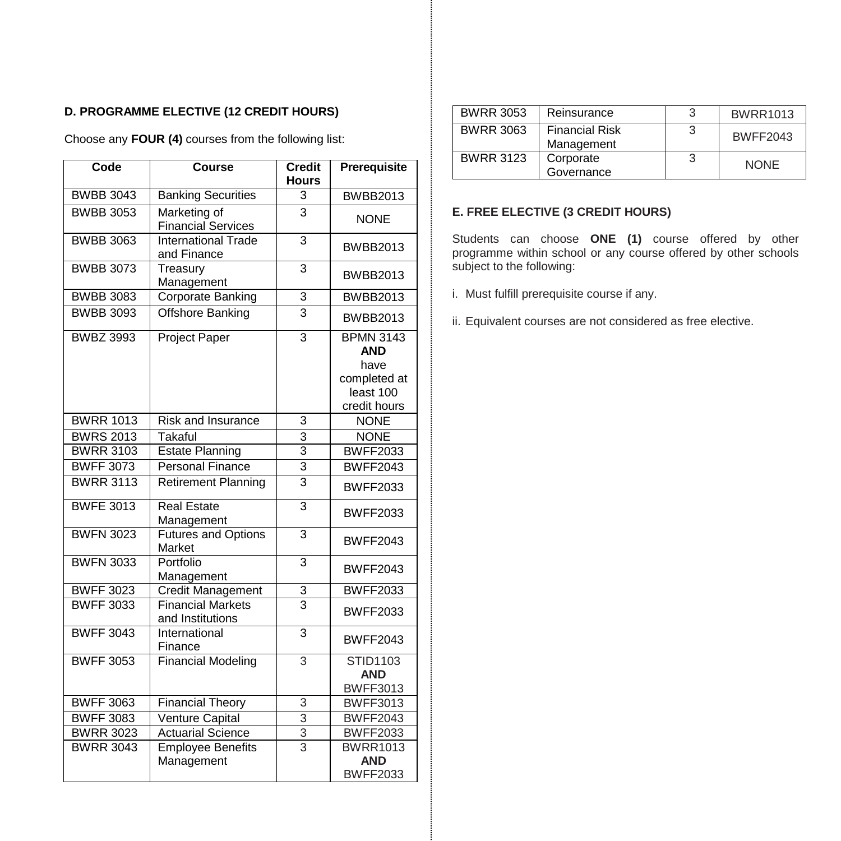# **D. PROGRAMME ELECTIVE (12 CREDIT HOURS)**

Choose any **FOUR (4)** courses from the following list:

| Code             | <b>Course</b>                                | <b>Credit</b><br><b>Hours</b> | Prerequisite                                                                        |
|------------------|----------------------------------------------|-------------------------------|-------------------------------------------------------------------------------------|
| <b>BWBB 3043</b> | <b>Banking Securities</b>                    | 3                             | <b>BWBB2013</b>                                                                     |
| <b>BWBB 3053</b> | Marketing of<br><b>Financial Services</b>    | $\overline{3}$                | <b>NONE</b>                                                                         |
| <b>BWBB 3063</b> | International Trade<br>and Finance           | 3                             | <b>BWBB2013</b>                                                                     |
| <b>BWBB 3073</b> | Treasury<br>Management                       | $\overline{3}$                | <b>BWBB2013</b>                                                                     |
| <b>BWBB 3083</b> | Corporate Banking                            | 3                             | <b>BWBB2013</b>                                                                     |
| <b>BWBB 3093</b> | <b>Offshore Banking</b>                      | $\overline{3}$                | <b>BWBB2013</b>                                                                     |
| <b>BWBZ 3993</b> | <b>Project Paper</b>                         | 3                             | <b>BPMN 3143</b><br><b>AND</b><br>have<br>completed at<br>least 100<br>credit hours |
| <b>BWRR 1013</b> | Risk and Insurance                           | 3                             | <b>NONE</b>                                                                         |
| <b>BWRS 2013</b> | Takaful                                      | 3                             | <b>NONE</b>                                                                         |
| <b>BWRR 3103</b> | <b>Estate Planning</b>                       | 3                             | <b>BWFF2033</b>                                                                     |
| <b>BWFF 3073</b> | Personal Finance                             | 3                             | <b>BWFF2043</b>                                                                     |
| <b>BWRR 3113</b> | <b>Retirement Planning</b>                   | $\overline{3}$                | <b>BWFF2033</b>                                                                     |
| <b>BWFE 3013</b> | <b>Real Estate</b><br>Management             | $\overline{3}$                | <b>BWFF2033</b>                                                                     |
| <b>BWFN 3023</b> | <b>Futures and Options</b><br>Market         | 3                             | <b>BWFF2043</b>                                                                     |
| <b>BWFN 3033</b> | Portfolio<br>Management                      | 3                             | <b>BWFF2043</b>                                                                     |
| <b>BWFF 3023</b> | Credit Management                            | 3                             | <b>BWFF2033</b>                                                                     |
| <b>BWFF 3033</b> | <b>Financial Markets</b><br>and Institutions | $\overline{3}$                | <b>BWFF2033</b>                                                                     |
| <b>BWFF 3043</b> | International<br>Finance                     | 3                             | <b>BWFF2043</b>                                                                     |
| <b>BWFF 3053</b> | <b>Financial Modeling</b>                    | 3                             | STID1103<br><b>AND</b><br><b>BWFF3013</b>                                           |
| <b>BWFF 3063</b> | <b>Financial Theory</b>                      | 3                             | <b>BWFF3013</b>                                                                     |
| <b>BWFF 3083</b> | Venture Capital                              | 3                             | <b>BWFF2043</b>                                                                     |
| <b>BWRR 3023</b> | <b>Actuarial Science</b>                     | 3                             | <b>BWFF2033</b>                                                                     |
| <b>BWRR 3043</b> | <b>Employee Benefits</b>                     | $\overline{\mathbf{3}}$       | <b>BWRR1013</b>                                                                     |
|                  | Management                                   |                               | <b>AND</b><br><b>BWFF2033</b>                                                       |
|                  |                                              |                               |                                                                                     |

| <b>BWRR 3053</b> | Reinsurance                         | 3 | <b>BWRR1013</b> |
|------------------|-------------------------------------|---|-----------------|
| <b>BWRR 3063</b> | <b>Financial Risk</b><br>Management |   | <b>BWFF2043</b> |
| <b>BWRR 3123</b> | Corporate<br>Governance             | 3 | <b>NONE</b>     |

# **E. FREE ELECTIVE (3 CREDIT HOURS)**

Students can choose **ONE (1)** course offered by other programme within school or any course offered by other schools subject to the following:

- i. Must fulfill prerequisite course if any.
- ii. Equivalent courses are not considered as free elective.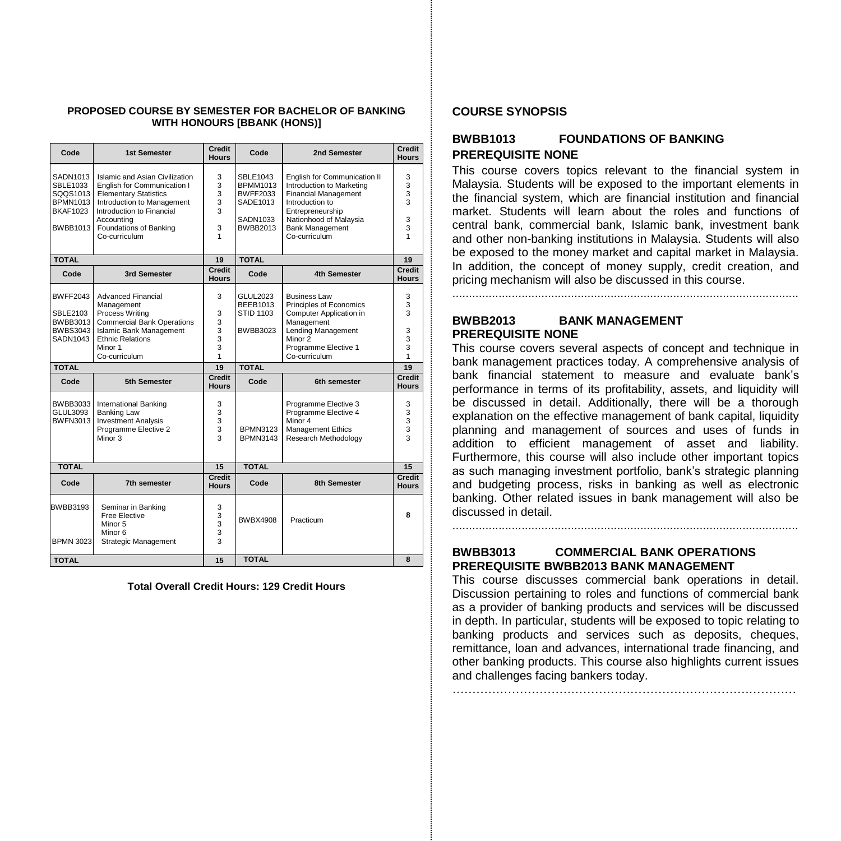#### **PROPOSED COURSE BY SEMESTER FOR BACHELOR OF BANKING WITH HONOURS [BBANK (HONS)]**

| Code                                                                               | <b>1st Semester</b>                                                                                                                                                                                               | <b>Credit</b><br><b>Hours</b>   | Code                                                                                             | 2nd Semester                                                                                                                                                                                         | Credit<br><b>Hours</b>                                   |
|------------------------------------------------------------------------------------|-------------------------------------------------------------------------------------------------------------------------------------------------------------------------------------------------------------------|---------------------------------|--------------------------------------------------------------------------------------------------|------------------------------------------------------------------------------------------------------------------------------------------------------------------------------------------------------|----------------------------------------------------------|
| SADN1013<br>SBLE1033<br>SQQS1013<br><b>BPMN1013</b><br><b>BKAF1023</b><br>BWBB1013 | Islamic and Asian Civilization<br>English for Communication I<br><b>Elementary Statistics</b><br>Introduction to Management<br>Introduction to Financial<br>Accountina<br>Foundations of Banking<br>Co-curriculum | 3<br>3<br>3<br>3<br>3<br>3<br>1 | <b>SBLE1043</b><br><b>BPMM1013</b><br><b>BWFF2033</b><br>SADE1013<br>SADN1033<br><b>BWBB2013</b> | English for Communication II<br>Introduction to Marketing<br><b>Financial Management</b><br>Introduction to<br>Entrepreneurship<br>Nationhood of Malaysia<br><b>Bank Management</b><br>Co-curriculum | 3<br>3<br>3<br>3<br>3<br>3                               |
| <b>TOTAL</b>                                                                       |                                                                                                                                                                                                                   | 19                              | <b>TOTAL</b>                                                                                     |                                                                                                                                                                                                      | 19                                                       |
| Code                                                                               | 3rd Semester                                                                                                                                                                                                      | <b>Credit</b><br><b>Hours</b>   | Code                                                                                             | <b>4th Semester</b>                                                                                                                                                                                  | <b>Credit</b><br><b>Hours</b>                            |
| BWFF2043<br><b>SBLE2103</b><br>BWBB3013<br>BWBS3043<br>SADN1043                    | <b>Advanced Financial</b><br>Management<br>Process Writing<br><b>Commercial Bank Operations</b><br><b>Islamic Bank Management</b><br><b>Ethnic Relations</b><br>Minor 1<br>Co-curriculum                          | 3<br>3<br>3<br>3<br>3<br>3<br>1 | GLUL2023<br><b>BEEB1013</b><br><b>STID 1103</b><br>BWBB3023                                      | <b>Business Law</b><br>Principles of Economics<br>Computer Application in<br>Management<br>Lending Management<br>Minor 2<br>Programme Elective 1<br>Co-curriculum                                    | 3<br>3<br>3<br>3<br>3<br>3<br>1                          |
| <b>TOTAL</b>                                                                       |                                                                                                                                                                                                                   | 19                              | <b>TOTAL</b>                                                                                     |                                                                                                                                                                                                      | 19                                                       |
| Code                                                                               | 5th Semester                                                                                                                                                                                                      | Credit<br><b>Hours</b>          | Code                                                                                             | 6th semester                                                                                                                                                                                         | Credit<br><b>Hours</b>                                   |
| BWBB3033<br>GLUL3093<br>BWFN3013                                                   | <b>International Banking</b><br><b>Banking Law</b><br><b>Investment Analysis</b><br>Programme Elective 2<br>Minor 3                                                                                               | 3<br>3<br>3<br>3<br>3           | <b>BPMN3123</b><br><b>BPMN3143</b>                                                               | Programme Elective 3<br>Programme Elective 4<br>Minor 4<br><b>Management Ethics</b><br>Research Methodology                                                                                          | 3<br>3<br>3<br>$\overline{3}$<br>$\overline{\mathbf{3}}$ |
| <b>TOTAL</b>                                                                       |                                                                                                                                                                                                                   | 15                              | <b>TOTAL</b>                                                                                     |                                                                                                                                                                                                      | 15                                                       |
| Code                                                                               | 7th semester                                                                                                                                                                                                      | Credit<br><b>Hours</b>          | Code                                                                                             | <b>8th Semester</b>                                                                                                                                                                                  | Credit<br><b>Hours</b>                                   |
| BWBB3193<br><b>BPMN 3023</b>                                                       | Seminar in Banking<br>Free Elective<br>Minor 5<br>Minor <sub>6</sub><br>Strategic Management                                                                                                                      | 3<br>3<br>3<br>3<br>3           | <b>BWBX4908</b>                                                                                  | Practicum                                                                                                                                                                                            | R                                                        |
| <b>TOTAL</b>                                                                       |                                                                                                                                                                                                                   | 15                              | <b>TOTAL</b>                                                                                     |                                                                                                                                                                                                      | 8                                                        |

**Total Overall Credit Hours: 129 Credit Hours**

#### **COURSE SYNOPSIS**

# **BWBB1013 FOUNDATIONS OF BANKING PREREQUISITE NONE**

This course covers topics relevant to the financial system in Malaysia. Students will be exposed to the important elements in the financial system, which are financial institution and financial market. Students will learn about the roles and functions of central bank, commercial bank, Islamic bank, investment bank and other non-banking institutions in Malaysia. Students will also be exposed to the money market and capital market in Malaysia. In addition, the concept of money supply, credit creation, and pricing mechanism will also be discussed in this course.

# **BWBB2013 BANK MANAGEMENT PREREQUISITE NONE**

.........................................................................................................

This course covers several aspects of concept and technique in bank management practices today. A comprehensive analysis of bank financial statement to measure and evaluate bank's performance in terms of its profitability, assets, and liquidity will be discussed in detail. Additionally, there will be a thorough explanation on the effective management of bank capital, liquidity planning and management of sources and uses of funds in addition to efficient management of asset and liability. Furthermore, this course will also include other important topics as such managing investment portfolio, bank's strategic planning and budgeting process, risks in banking as well as electronic banking. Other related issues in bank management will also be discussed in detail.

# **BWBB3013 COMMERCIAL BANK OPERATIONS PREREQUISITE BWBB2013 BANK MANAGEMENT**

……………………………………………………………………………

.........................................................................................................

This course discusses commercial bank operations in detail. Discussion pertaining to roles and functions of commercial bank as a provider of banking products and services will be discussed in depth. In particular, students will be exposed to topic relating to banking products and services such as deposits, cheques, remittance, loan and advances, international trade financing, and other banking products. This course also highlights current issues and challenges facing bankers today.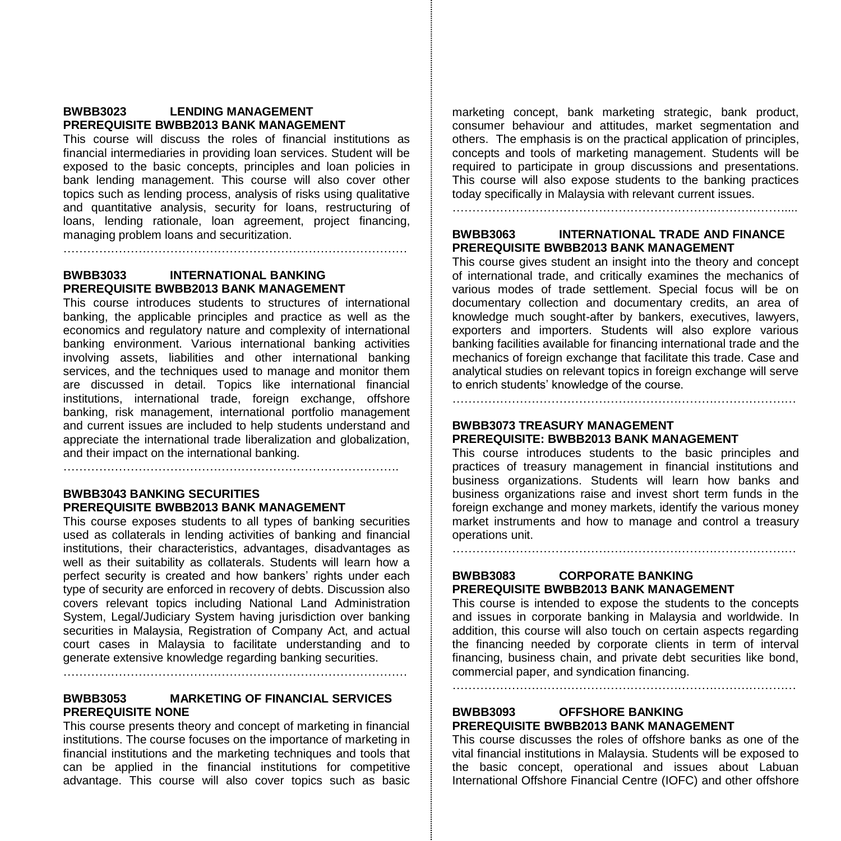### **BWBB3023 LENDING MANAGEMENT PREREQUISITE BWBB2013 BANK MANAGEMENT**

This course will discuss the roles of financial institutions as financial intermediaries in providing loan services. Student will be exposed to the basic concepts, principles and loan policies in bank lending management. This course will also cover other topics such as lending process, analysis of risks using qualitative and quantitative analysis, security for loans, restructuring of loans, lending rationale, loan agreement, project financing, managing problem loans and securitization.

……………………………………………………………………………

### **BWBB3033 INTERNATIONAL BANKING PREREQUISITE BWBB2013 BANK MANAGEMENT**

This course introduces students to structures of international banking, the applicable principles and practice as well as the economics and regulatory nature and complexity of international banking environment. Various international banking activities involving assets, liabilities and other international banking services, and the techniques used to manage and monitor them are discussed in detail. Topics like international financial institutions, international trade, foreign exchange, offshore banking, risk management, international portfolio management and current issues are included to help students understand and appreciate the international trade liberalization and globalization, and their impact on the international banking.

………………………………………………………………………….

### **BWBB3043 BANKING SECURITIES PREREQUISITE BWBB2013 BANK MANAGEMENT**

This course exposes students to all types of banking securities used as collaterals in lending activities of banking and financial institutions, their characteristics, advantages, disadvantages as well as their suitability as collaterals. Students will learn how a perfect security is created and how bankers' rights under each type of security are enforced in recovery of debts. Discussion also covers relevant topics including National Land Administration System, Legal/Judiciary System having jurisdiction over banking securities in Malaysia, Registration of Company Act, and actual court cases in Malaysia to facilitate understanding and to generate extensive knowledge regarding banking securities. ……………………………………………………………………………

# **BWBB3053 MARKETING OF FINANCIAL SERVICES PREREQUISITE NONE**

This course presents theory and concept of marketing in financial institutions. The course focuses on the importance of marketing in financial institutions and the marketing techniques and tools that can be applied in the financial institutions for competitive advantage. This course will also cover topics such as basic

marketing concept, bank marketing strategic, bank product, consumer behaviour and attitudes, market segmentation and others. The emphasis is on the practical application of principles, concepts and tools of marketing management. Students will be required to participate in group discussions and presentations. This course will also expose students to the banking practices today specifically in Malaysia with relevant current issues. …………………………………………………………………………....

### **BWBB3063 INTERNATIONAL TRADE AND FINANCE PREREQUISITE BWBB2013 BANK MANAGEMENT**

This course gives student an insight into the theory and concept of international trade, and critically examines the mechanics of various modes of trade settlement. Special focus will be on documentary collection and documentary credits, an area of knowledge much sought-after by bankers, executives, lawyers, exporters and importers. Students will also explore various banking facilities available for financing international trade and the mechanics of foreign exchange that facilitate this trade. Case and analytical studies on relevant topics in foreign exchange will serve to enrich students' knowledge of the course.

**BWBB3073 TREASURY MANAGEMENT**

### **PREREQUISITE: BWBB2013 BANK MANAGEMENT**

This course introduces students to the basic principles and practices of treasury management in financial institutions and business organizations. Students will learn how banks and business organizations raise and invest short term funds in the foreign exchange and money markets, identify the various money market instruments and how to manage and control a treasury operations unit.

……………………………………………………………………………

# **BWBB3083 CORPORATE BANKING PREREQUISITE BWBB2013 BANK MANAGEMENT**

This course is intended to expose the students to the concepts and issues in corporate banking in Malaysia and worldwide. In addition, this course will also touch on certain aspects regarding the financing needed by corporate clients in term of interval financing, business chain, and private debt securities like bond, commercial paper, and syndication financing.

……………………………………………………………………………

# **BWBB3093 OFFSHORE BANKING PREREQUISITE BWBB2013 BANK MANAGEMENT**

This course discusses the roles of offshore banks as one of the vital financial institutions in Malaysia. Students will be exposed to the basic concept, operational and issues about Labuan International Offshore Financial Centre (IOFC) and other offshore